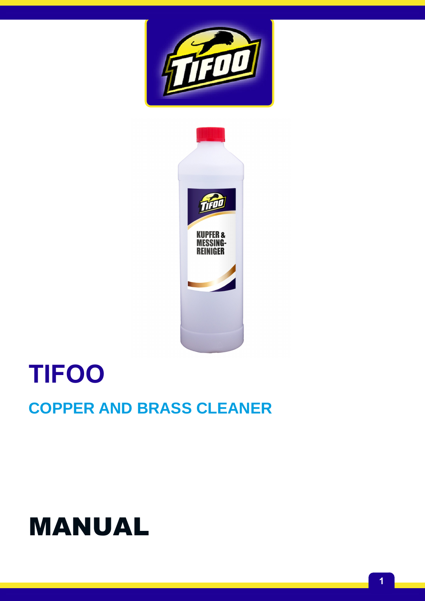## MANUAL

## **COPPER AND BRASS CLEANER**

# **TIFOO**



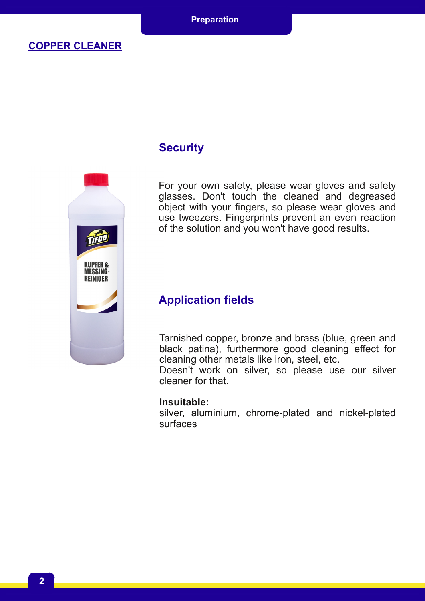

#### **Security**

For your own safety, please wear gloves and safety glasses. Don't touch the cleaned and degreased object with your fingers, so please wear gloves and use tweezers. Fingerprints prevent an even reaction of the solution and you won't have good results.

#### **Application fields**

Tarnished copper, bronze and brass (blue, green and black patina), furthermore good cleaning effect for cleaning other metals like iron, steel, etc.

Doesn't work on silver, so please use our silver cleaner for that.

#### **Insuitable:**

silver, aluminium, chrome-plated and nickel-plated surfaces